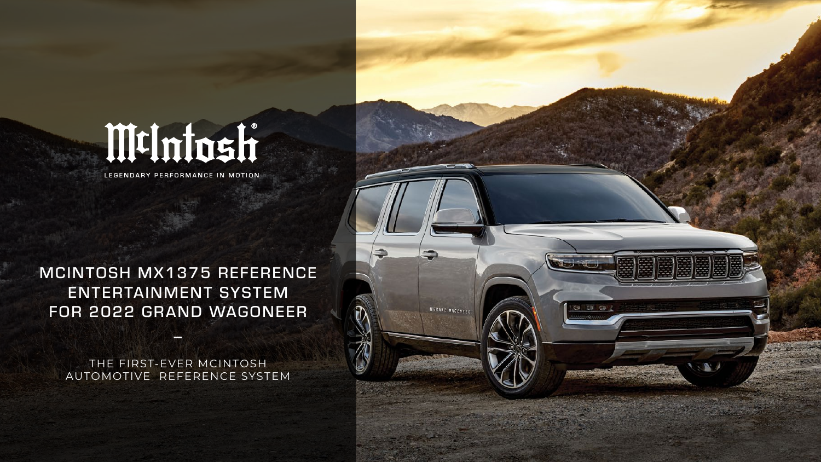# MtIntosh

LEGENDARY PERFORMANCE IN MOTION

### MCINTOSH MX1375 REFERENCE ENTERTAINMENT SYSTEM FOR 2022 GRAND WAGONEER

THE FIRST-EVER MCINTOSH AUTOMOTIVE REFERENCE SYSTEM

**\_**

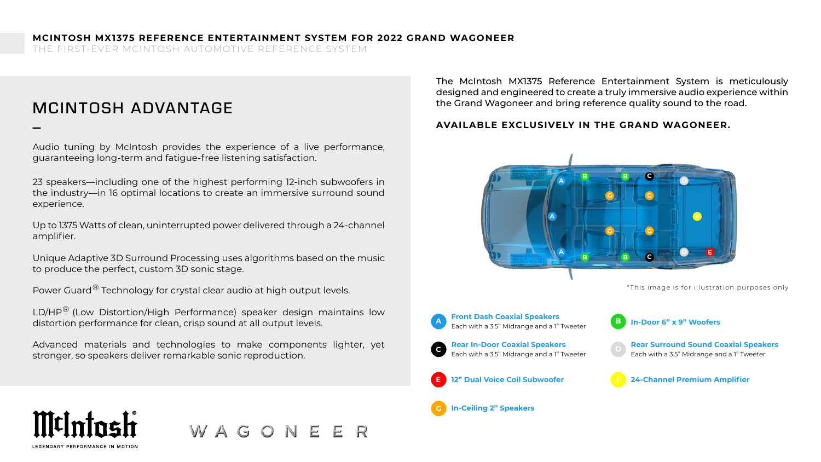THE FIRST-EVER MCINTOSH AUTOMOTIVE REFERENCE SYSTEM

### MCINTOSH ADVANTAGE \_

Audio tuning by McIntosh provides the experience of a live performance, guaranteeing long-term and fatigue-free listening satisfaction.

23 speakers—including one of the highest performing 12-inch subwoofers in the industry—in 16 optimal locations to create an immersive surround sound experience.

Up to 1375 Watts of clean, uninterrupted power delivered through a 24-channel amplifier.

Unique Adaptive 3D Surround Processing uses algorithms based on the music to produce the perfect, custom 3D sonic stage.

Power Guard $^\circledR$  Technology for crystal clear audio at high output levels.

LD/HP<sup>®</sup> (Low Distortion/High Performance) speaker design maintains low distortion performance for clean, crisp sound at all output levels.

Advanced materials and technologies to make components lighter, yet stronger, so speakers deliver remarkable sonic reproduction.

WAGONE

The McIntosh MX1375 Reference Entertainment System is meticulously designed and engineered to create a truly immersive audio experience within the Grand Wagoneer and bring reference quality sound to the road.

#### **AVAILABLE EXCLUSIVELY IN THE GRAND WAGONEER.**



LEGENDARY PERFORMANCE IN MOTH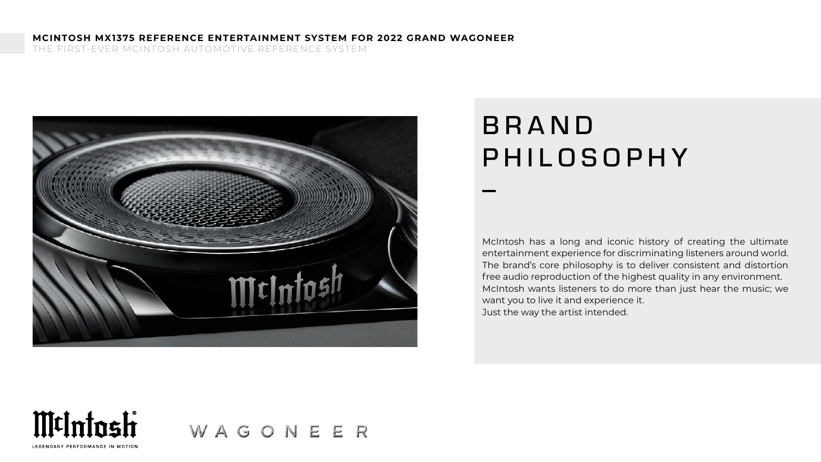THE FIRST-EVER MCINTOSH AUTOMOTIVE REFERENCE SYSTEM



## **BRAND** PHILOSOPHY \_

McIntosh has a long and iconic history of creating the ultimate entertainment experience for discriminating listeners around world. The brand's core philosophy is to deliver consistent and distortion free audio reproduction of the highest quality in any environment. McIntosh wants listeners to do more than just hear the music; we want you to live it and experience it. Just the way the artist intended.



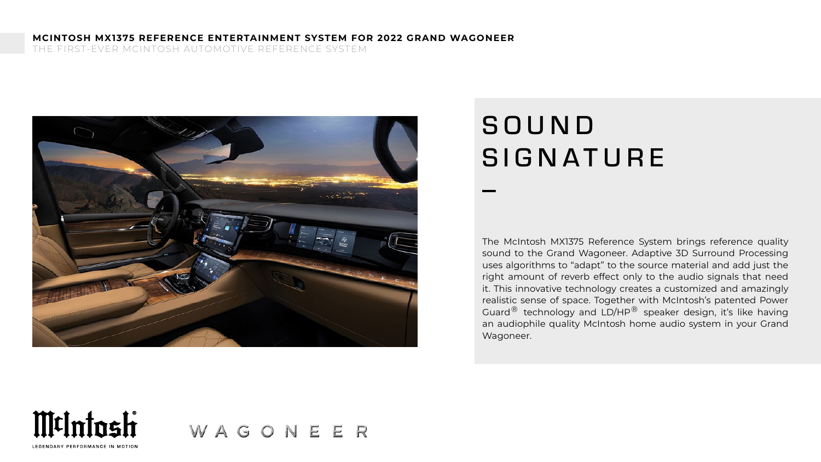THE FIRST-EVER MCINTOSH AUTOMOTIVE REFERENCE SYSTEM



## **SOUND SIGNATURE** \_

The McIntosh MX1375 Reference System brings reference quality sound to the Grand Wagoneer. Adaptive 3D Surround Processing uses algorithms to "adapt" to the source material and add just the right amount of reverb effect only to the audio signals that need it. This innovative technology creates a customized and amazingly realistic sense of space. Together with McIntosh's patented Power Guard $^{\circledR}$  technology and LD/HP $^{\circledR}$  speaker design, it's like having an audiophile quality McIntosh home audio system in your Grand Wagoneer.



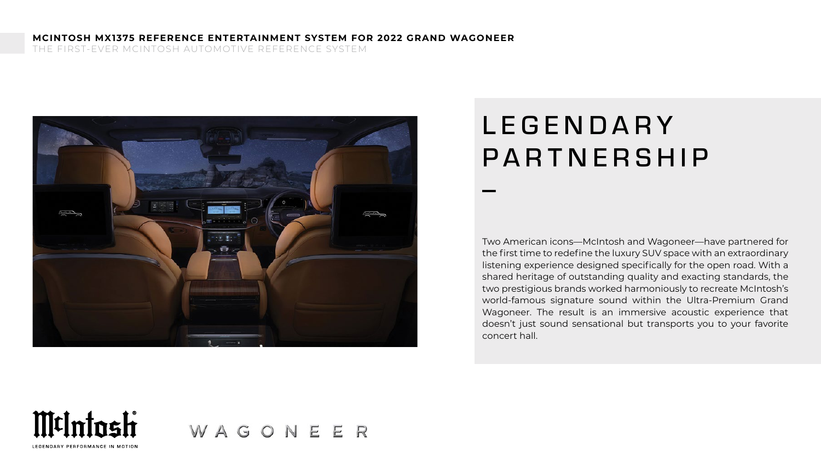THE FIRST-EVER MCINTOSH AUTOMOTIVE REFERENCE SYSTEM



## **LEGENDARY** PARTNERSHIP \_

Two American icons—McIntosh and Wagoneer—have partnered for the first time to redefine the luxury SUV space with an extraordinary listening experience designed specifically for the open road. With a shared heritage of outstanding quality and exacting standards, the two prestigious brands worked harmoniously to recreate McIntosh's world-famous signature sound within the Ultra-Premium Grand Wagoneer. The result is an immersive acoustic experience that doesn't just sound sensational but transports you to your favorite concert hall.



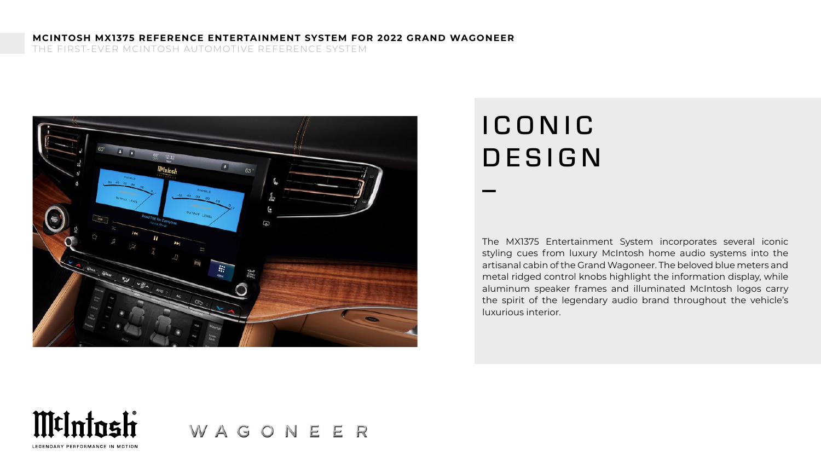THE FIRST-EVER MCINTOSH AUTOMOTIVE REFERENCE SYSTEM



# I C O N I C DESIGN \_

The MX1375 Entertainment System incorporates several iconic styling cues from luxury McIntosh home audio systems into the artisanal cabin of the Grand Wagoneer. The beloved blue meters and metal ridged control knobs highlight the information display, while aluminum speaker frames and illuminated McIntosh logos carry the spirit of the legendary audio brand throughout the vehicle's luxurious interior.